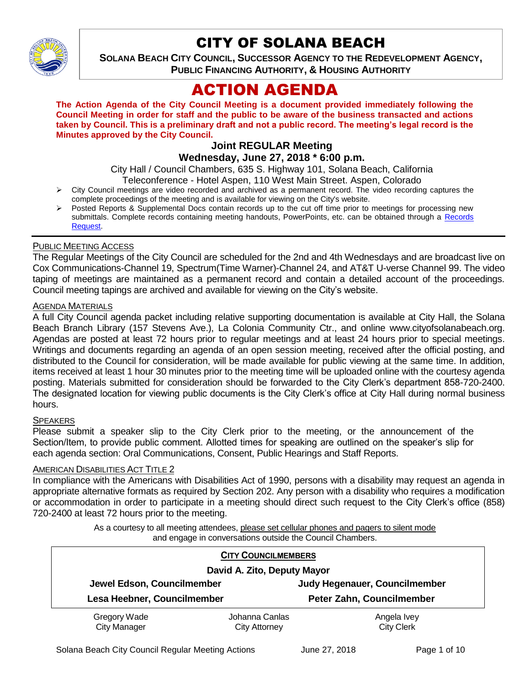# CITY OF SOLANA BEACH



**SOLANA BEACH CITY COUNCIL, SUCCESSOR AGENCY TO THE REDEVELOPMENT AGENCY, PUBLIC FINANCING AUTHORITY, & HOUSING AUTHORITY** 

# ACTION AGENDA

**The Action Agenda of the City Council Meeting is a document provided immediately following the Council Meeting in order for staff and the public to be aware of the business transacted and actions taken by Council. This is a preliminary draft and not a public record. The meeting's legal record is the Minutes approved by the City Council.**

# **Joint REGULAR Meeting Wednesday, June 27, 2018 \* 6:00 p.m.**

City Hall / Council Chambers, 635 S. Highway 101, Solana Beach, California Teleconference - Hotel Aspen, 110 West Main Street. Aspen, Colorado

- $\triangleright$  City Council meetings are video recorded and archived as a permanent record. The video recording captures the complete proceedings of the meeting and is available for viewing on the City's website.
- Posted Reports & Supplemental Docs contain records up to the cut off time prior to meetings for processing new submittals. Complete records containing meeting handouts, PowerPoints, etc. can be obtained through a Records [Request.](http://www.ci.solana-beach.ca.us/index.asp?SEC=F5D45D10-70CE-4291-A27C-7BD633FC6742&Type=B_BASIC)

#### PUBLIC MEETING ACCESS

The Regular Meetings of the City Council are scheduled for the 2nd and 4th Wednesdays and are broadcast live on Cox Communications-Channel 19, Spectrum(Time Warner)-Channel 24, and AT&T U-verse Channel 99. The video taping of meetings are maintained as a permanent record and contain a detailed account of the proceedings. Council meeting tapings are archived and available for viewing on the City's website.

#### **AGENDA MATERIALS**

A full City Council agenda packet including relative supporting documentation is available at City Hall, the Solana Beach Branch Library (157 Stevens Ave.), La Colonia Community Ctr., and online www.cityofsolanabeach.org. Agendas are posted at least 72 hours prior to regular meetings and at least 24 hours prior to special meetings. Writings and documents regarding an agenda of an open session meeting, received after the official posting, and distributed to the Council for consideration, will be made available for public viewing at the same time. In addition, items received at least 1 hour 30 minutes prior to the meeting time will be uploaded online with the courtesy agenda posting. Materials submitted for consideration should be forwarded to the City Clerk's department 858-720-2400. The designated location for viewing public documents is the City Clerk's office at City Hall during normal business hours.

#### **SPEAKERS**

Please submit a speaker slip to the City Clerk prior to the meeting, or the announcement of the Section/Item, to provide public comment. Allotted times for speaking are outlined on the speaker's slip for each agenda section: Oral Communications, Consent, Public Hearings and Staff Reports.

#### AMERICAN DISABILITIES ACT TITLE 2

In compliance with the Americans with Disabilities Act of 1990, persons with a disability may request an agenda in appropriate alternative formats as required by Section 202. Any person with a disability who requires a modification or accommodation in order to participate in a meeting should direct such request to the City Clerk's office (858) 720-2400 at least 72 hours prior to the meeting.

> As a courtesy to all meeting attendees, please set cellular phones and pagers to silent mode and engage in conversations outside the Council Chambers.

| <b>CITY COUNCILMEMBERS</b>          |                                 |                                  |  |
|-------------------------------------|---------------------------------|----------------------------------|--|
| David A. Zito, Deputy Mayor         |                                 |                                  |  |
| Jewel Edson, Councilmember          |                                 | Judy Hegenauer, Councilmember    |  |
| Lesa Heebner, Councilmember         |                                 | Peter Zahn, Councilmember        |  |
| Gregory Wade<br><b>City Manager</b> | Johanna Canlas<br>City Attorney | Angela Ivey<br><b>City Clerk</b> |  |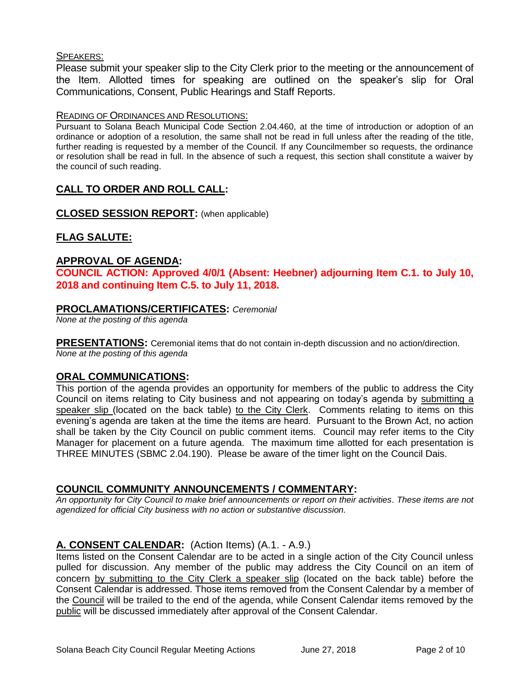#### SPEAKERS:

Please submit your speaker slip to the City Clerk prior to the meeting or the announcement of the Item. Allotted times for speaking are outlined on the speaker's slip for Oral Communications, Consent, Public Hearings and Staff Reports.

#### READING OF ORDINANCES AND RESOLUTIONS:

Pursuant to Solana Beach Municipal Code Section 2.04.460, at the time of introduction or adoption of an ordinance or adoption of a resolution, the same shall not be read in full unless after the reading of the title, further reading is requested by a member of the Council. If any Councilmember so requests, the ordinance or resolution shall be read in full. In the absence of such a request, this section shall constitute a waiver by the council of such reading.

# **CALL TO ORDER AND ROLL CALL:**

**CLOSED SESSION REPORT:** (when applicable)

# **FLAG SALUTE:**

## **APPROVAL OF AGENDA:**

**COUNCIL ACTION: Approved 4/0/1 (Absent: Heebner) adjourning Item C.1. to July 10, 2018 and continuing Item C.5. to July 11, 2018.** 

#### **PROCLAMATIONS/CERTIFICATES:** *Ceremonial*

*None at the posting of this agenda*

**PRESENTATIONS:** Ceremonial items that do not contain in-depth discussion and no action/direction. *None at the posting of this agenda*

## **ORAL COMMUNICATIONS:**

This portion of the agenda provides an opportunity for members of the public to address the City Council on items relating to City business and not appearing on today's agenda by submitting a speaker slip (located on the back table) to the City Clerk. Comments relating to items on this evening's agenda are taken at the time the items are heard. Pursuant to the Brown Act, no action shall be taken by the City Council on public comment items. Council may refer items to the City Manager for placement on a future agenda. The maximum time allotted for each presentation is THREE MINUTES (SBMC 2.04.190). Please be aware of the timer light on the Council Dais.

## **COUNCIL COMMUNITY ANNOUNCEMENTS / COMMENTARY:**

*An opportunity for City Council to make brief announcements or report on their activities. These items are not agendized for official City business with no action or substantive discussion.* 

## **A. CONSENT CALENDAR:** (Action Items) (A.1. - A.9.)

Items listed on the Consent Calendar are to be acted in a single action of the City Council unless pulled for discussion. Any member of the public may address the City Council on an item of concern by submitting to the City Clerk a speaker slip (located on the back table) before the Consent Calendar is addressed. Those items removed from the Consent Calendar by a member of the Council will be trailed to the end of the agenda, while Consent Calendar items removed by the public will be discussed immediately after approval of the Consent Calendar.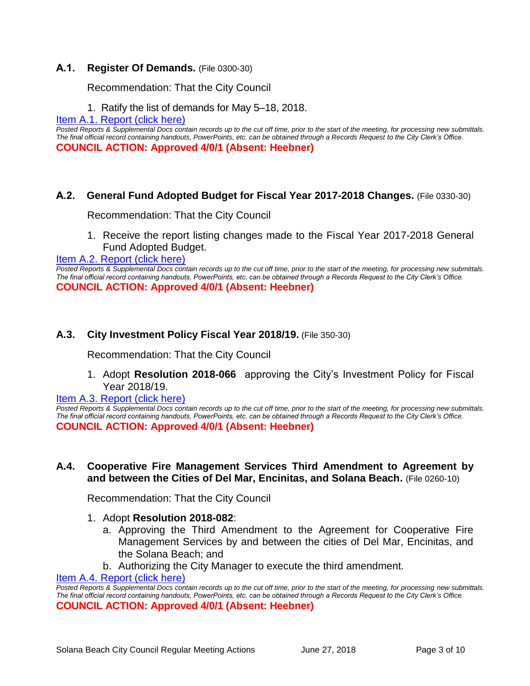#### **A.1. Register Of Demands.** (File 0300-30)

Recommendation: That the City Council

1. Ratify the list of demands for May 5–18, 2018.

#### [Item A.1. Report \(click here\)](https://solanabeach.govoffice3.com/vertical/Sites/%7B840804C2-F869-4904-9AE3-720581350CE7%7D/uploads/Item_A.1._Report_(click_here)_-06-27-18.PDF)

*Posted Reports & Supplemental Docs contain records up to the cut off time, prior to the start of the meeting, for processing new submittals. The final official record containing handouts, PowerPoints, etc. can be obtained through a Records Request to the City Clerk's Office.* **COUNCIL ACTION: Approved 4/0/1 (Absent: Heebner)**

#### **A.2. General Fund Adopted Budget for Fiscal Year 2017-2018 Changes.** (File 0330-30)

Recommendation: That the City Council

1. Receive the report listing changes made to the Fiscal Year 2017-2018 General Fund Adopted Budget.

[Item A.2. Report \(click here\)](https://solanabeach.govoffice3.com/vertical/Sites/%7B840804C2-F869-4904-9AE3-720581350CE7%7D/uploads/Item_A.2._Report_(click_here)_-06-27-18.PDF)

*Posted Reports & Supplemental Docs contain records up to the cut off time, prior to the start of the meeting, for processing new submittals. The final official record containing handouts, PowerPoints, etc. can be obtained through a Records Request to the City Clerk's Office.* **COUNCIL ACTION: Approved 4/0/1 (Absent: Heebner)**

#### **A.3. City Investment Policy Fiscal Year 2018/19.** (File 350-30)

Recommendation: That the City Council

1. Adopt **Resolution 2018-066** approving the City's Investment Policy for Fiscal Year 2018/19.

[Item A.3. Report \(click here\)](https://solanabeach.govoffice3.com/vertical/Sites/%7B840804C2-F869-4904-9AE3-720581350CE7%7D/uploads/Item_A.3._Report_(click_here)_-06-27-18.PDF)

*Posted Reports & Supplemental Docs contain records up to the cut off time, prior to the start of the meeting, for processing new submittals. The final official record containing handouts, PowerPoints, etc. can be obtained through a Records Request to the City Clerk's Office.* **COUNCIL ACTION: Approved 4/0/1 (Absent: Heebner)**

#### **A.4. Cooperative Fire Management Services Third Amendment to Agreement by and between the Cities of Del Mar, Encinitas, and Solana Beach.** (File 0260-10)

Recommendation: That the City Council

- 1. Adopt **Resolution 2018-082**:
	- a. Approving the Third Amendment to the Agreement for Cooperative Fire Management Services by and between the cities of Del Mar, Encinitas, and the Solana Beach; and
	- b. Authorizing the City Manager to execute the third amendment.

[Item A.4. Report \(click here\)](https://solanabeach.govoffice3.com/vertical/Sites/%7B840804C2-F869-4904-9AE3-720581350CE7%7D/uploads/Item_A.4._Report_(click_here)_-06-27-18.PDF)

*Posted Reports & Supplemental Docs contain records up to the cut off time, prior to the start of the meeting, for processing new submittals. The final official record containing handouts, PowerPoints, etc. can be obtained through a Records Request to the City Clerk's Office.* **COUNCIL ACTION: Approved 4/0/1 (Absent: Heebner)**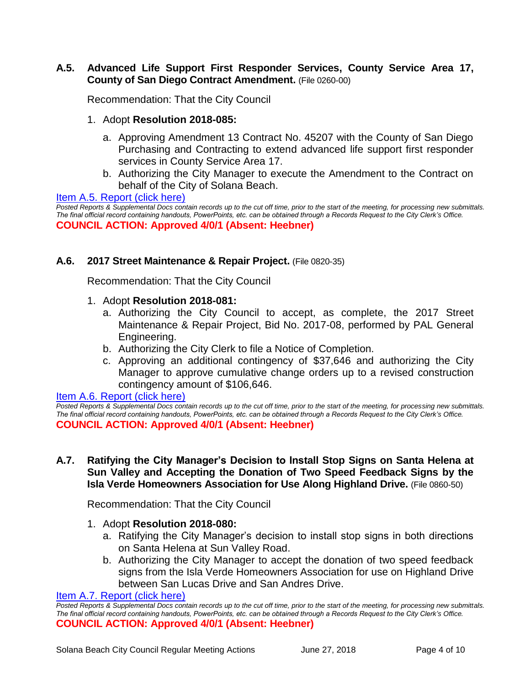#### **A.5. Advanced Life Support First Responder Services, County Service Area 17, County of San Diego Contract Amendment.** (File 0260-00)

Recommendation: That the City Council

#### 1. Adopt **Resolution 2018-085:**

- a. Approving Amendment 13 Contract No. 45207 with the County of San Diego Purchasing and Contracting to extend advanced life support first responder services in County Service Area 17.
- b. Authorizing the City Manager to execute the Amendment to the Contract on behalf of the City of Solana Beach.

[Item A.5. Report \(click here\)](https://solanabeach.govoffice3.com/vertical/Sites/%7B840804C2-F869-4904-9AE3-720581350CE7%7D/uploads/Item_A.5._Report_(click_here)_-06-27-18.PDF) 

*Posted Reports & Supplemental Docs contain records up to the cut off time, prior to the start of the meeting, for processing new submittals. The final official record containing handouts, PowerPoints, etc. can be obtained through a Records Request to the City Clerk's Office.* **COUNCIL ACTION: Approved 4/0/1 (Absent: Heebner)**

#### **A.6. 2017 Street Maintenance & Repair Project.** (File 0820-35)

Recommendation: That the City Council

- 1. Adopt **Resolution 2018-081:**
	- a. Authorizing the City Council to accept, as complete, the 2017 Street Maintenance & Repair Project, Bid No. 2017-08, performed by PAL General Engineering.
	- b. Authorizing the City Clerk to file a Notice of Completion.
	- c. Approving an additional contingency of \$37,646 and authorizing the City Manager to approve cumulative change orders up to a revised construction contingency amount of \$106,646.

[Item A.6. Report \(click here\)](https://solanabeach.govoffice3.com/vertical/Sites/%7B840804C2-F869-4904-9AE3-720581350CE7%7D/uploads/Item_A.6._Report_(click_here)_-06-27-18.PDF)

*Posted Reports & Supplemental Docs contain records up to the cut off time, prior to the start of the meeting, for processing new submittals. The final official record containing handouts, PowerPoints, etc. can be obtained through a Records Request to the City Clerk's Office.* **COUNCIL ACTION: Approved 4/0/1 (Absent: Heebner)**

**A.7. Ratifying the City Manager's Decision to Install Stop Signs on Santa Helena at Sun Valley and Accepting the Donation of Two Speed Feedback Signs by the Isla Verde Homeowners Association for Use Along Highland Drive.** (File 0860-50)

Recommendation: That the City Council

- 1. Adopt **Resolution 2018-080:**
	- a. Ratifying the City Manager's decision to install stop signs in both directions on Santa Helena at Sun Valley Road.
	- b. Authorizing the City Manager to accept the donation of two speed feedback signs from the Isla Verde Homeowners Association for use on Highland Drive between San Lucas Drive and San Andres Drive.

[Item A.7. Report \(click here\)](https://solanabeach.govoffice3.com/vertical/Sites/%7B840804C2-F869-4904-9AE3-720581350CE7%7D/uploads/Item_A.7._Report_(click_here)_-06-27-18.PDF)

*Posted Reports & Supplemental Docs contain records up to the cut off time, prior to the start of the meeting, for processing new submittals. The final official record containing handouts, PowerPoints, etc. can be obtained through a Records Request to the City Clerk's Office.* **COUNCIL ACTION: Approved 4/0/1 (Absent: Heebner)**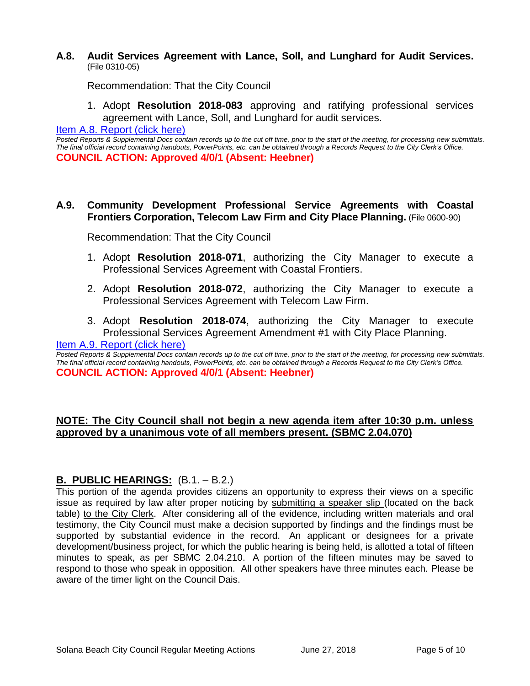#### **A.8. Audit Services Agreement with Lance, Soll, and Lunghard for Audit Services.** (File 0310-05)

Recommendation: That the City Council

1. Adopt **Resolution 2018-083** approving and ratifying professional services agreement with Lance, Soll, and Lunghard for audit services.

[Item A.8. Report \(click here\)](https://solanabeach.govoffice3.com/vertical/Sites/%7B840804C2-F869-4904-9AE3-720581350CE7%7D/uploads/Item_A.8._Report_(click_here)_-06-27-18.PDF)

*Posted Reports & Supplemental Docs contain records up to the cut off time, prior to the start of the meeting, for processing new submittals. The final official record containing handouts, PowerPoints, etc. can be obtained through a Records Request to the City Clerk's Office.* **COUNCIL ACTION: Approved 4/0/1 (Absent: Heebner)**

## **A.9. Community Development Professional Service Agreements with Coastal Frontiers Corporation, Telecom Law Firm and City Place Planning.** (File 0600-90)

Recommendation: That the City Council

- 1. Adopt **Resolution 2018-071**, authorizing the City Manager to execute a Professional Services Agreement with Coastal Frontiers.
- 2. Adopt **Resolution 2018-072**, authorizing the City Manager to execute a Professional Services Agreement with Telecom Law Firm.
- 3. Adopt **Resolution 2018-074**, authorizing the City Manager to execute Professional Services Agreement Amendment #1 with City Place Planning.

#### [Item A.9. Report \(click here\)](https://solanabeach.govoffice3.com/vertical/Sites/%7B840804C2-F869-4904-9AE3-720581350CE7%7D/uploads/Item_A.9._Report_(click_here)_-06-27-18.PDF)

*Posted Reports & Supplemental Docs contain records up to the cut off time, prior to the start of the meeting, for processing new submittals. The final official record containing handouts, PowerPoints, etc. can be obtained through a Records Request to the City Clerk's Office.* **COUNCIL ACTION: Approved 4/0/1 (Absent: Heebner)**

#### **NOTE: The City Council shall not begin a new agenda item after 10:30 p.m. unless approved by a unanimous vote of all members present. (SBMC 2.04.070)**

## **B. PUBLIC HEARINGS:** (B.1. – B.2.)

This portion of the agenda provides citizens an opportunity to express their views on a specific issue as required by law after proper noticing by submitting a speaker slip (located on the back table) to the City Clerk. After considering all of the evidence, including written materials and oral testimony, the City Council must make a decision supported by findings and the findings must be supported by substantial evidence in the record. An applicant or designees for a private development/business project, for which the public hearing is being held, is allotted a total of fifteen minutes to speak, as per SBMC 2.04.210. A portion of the fifteen minutes may be saved to respond to those who speak in opposition. All other speakers have three minutes each. Please be aware of the timer light on the Council Dais.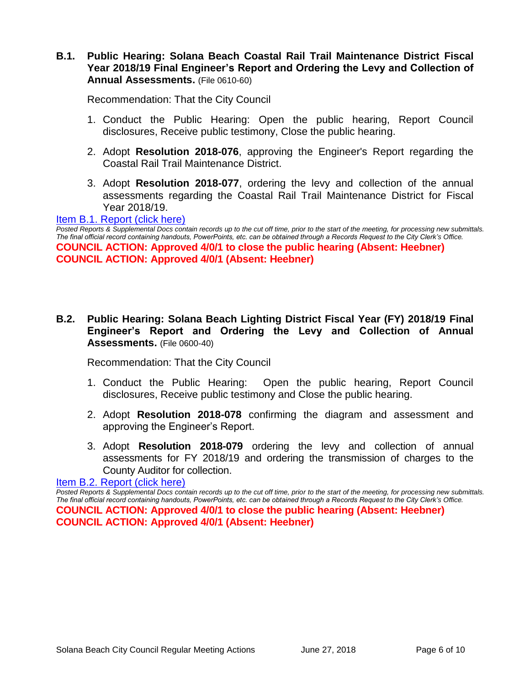#### **B.1. Public Hearing: Solana Beach Coastal Rail Trail Maintenance District Fiscal Year 2018/19 Final Engineer's Report and Ordering the Levy and Collection of Annual Assessments.** (File 0610-60)

Recommendation: That the City Council

- 1. Conduct the Public Hearing: Open the public hearing, Report Council disclosures, Receive public testimony, Close the public hearing.
- 2. Adopt **Resolution 2018-076**, approving the Engineer's Report regarding the Coastal Rail Trail Maintenance District.
- 3. Adopt **Resolution 2018-077**, ordering the levy and collection of the annual assessments regarding the Coastal Rail Trail Maintenance District for Fiscal Year 2018/19.

#### [Item B.1. Report \(click here\)](https://solanabeach.govoffice3.com/vertical/Sites/%7B840804C2-F869-4904-9AE3-720581350CE7%7D/uploads/Item_B.1._Report_(click_here)_-06-27-18.PDF)

*Posted Reports & Supplemental Docs contain records up to the cut off time, prior to the start of the meeting, for processing new submittals. The final official record containing handouts, PowerPoints, etc. can be obtained through a Records Request to the City Clerk's Office.* **COUNCIL ACTION: Approved 4/0/1 to close the public hearing (Absent: Heebner) COUNCIL ACTION: Approved 4/0/1 (Absent: Heebner)**

# **B.2. Public Hearing: Solana Beach Lighting District Fiscal Year (FY) 2018/19 Final Engineer's Report and Ordering the Levy and Collection of Annual Assessments.** (File 0600-40)

Recommendation: That the City Council

- 1. Conduct the Public Hearing: Open the public hearing, Report Council disclosures, Receive public testimony and Close the public hearing.
- 2. Adopt **Resolution 2018-078** confirming the diagram and assessment and approving the Engineer's Report.
- 3. Adopt **Resolution 2018-079** ordering the levy and collection of annual assessments for FY 2018/19 and ordering the transmission of charges to the County Auditor for collection.

[Item B.2. Report \(click here\)](https://solanabeach.govoffice3.com/vertical/Sites/%7B840804C2-F869-4904-9AE3-720581350CE7%7D/uploads/Item_B.2._Report_(click_here)_-06-27-18.PDF)

*Posted Reports & Supplemental Docs contain records up to the cut off time, prior to the start of the meeting, for processing new submittals. The final official record containing handouts, PowerPoints, etc. can be obtained through a Records Request to the City Clerk's Office.* **COUNCIL ACTION: Approved 4/0/1 to close the public hearing (Absent: Heebner) COUNCIL ACTION: Approved 4/0/1 (Absent: Heebner)**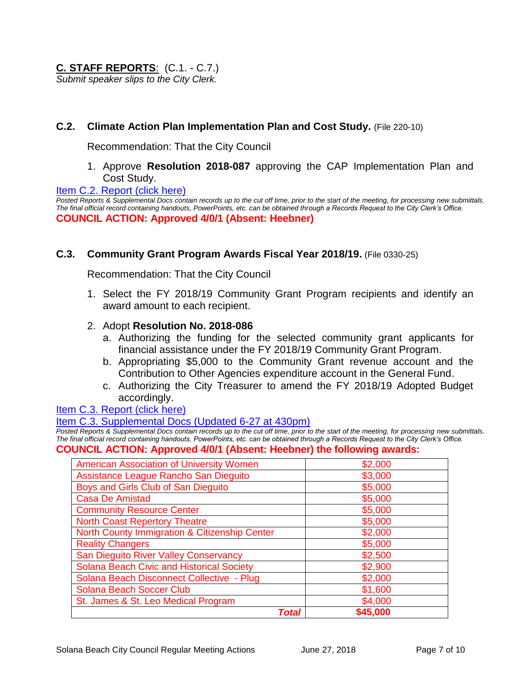# **C. STAFF REPORTS**: (C.1. - C.7.)

*Submit speaker slips to the City Clerk.*

#### **C.2. Climate Action Plan Implementation Plan and Cost Study.** (File 220-10)

Recommendation: That the City Council

1. Approve **Resolution 2018-087** approving the CAP Implementation Plan and Cost Study.

[Item C.2. Report \(click here\)](https://solanabeach.govoffice3.com/vertical/Sites/%7B840804C2-F869-4904-9AE3-720581350CE7%7D/uploads/Item_C.2._Report_(click_here)_-06-27-18.pdf)

*Posted Reports & Supplemental Docs contain records up to the cut off time, prior to the start of the meeting, for processing new submittals. The final official record containing handouts, PowerPoints, etc. can be obtained through a Records Request to the City Clerk's Office.* **COUNCIL ACTION: Approved 4/0/1 (Absent: Heebner)**

#### **C.3. Community Grant Program Awards Fiscal Year 2018/19.** (File 0330-25)

Recommendation: That the City Council

1. Select the FY 2018/19 Community Grant Program recipients and identify an award amount to each recipient.

#### 2. Adopt **Resolution No. 2018-086**

- a. Authorizing the funding for the selected community grant applicants for financial assistance under the FY 2018/19 Community Grant Program.
- b. Appropriating \$5,000 to the Community Grant revenue account and the Contribution to Other Agencies expenditure account in the General Fund.
- c. Authorizing the City Treasurer to amend the FY 2018/19 Adopted Budget accordingly.

[Item C.3. Report \(click here\)](https://solanabeach.govoffice3.com/vertical/Sites/%7B840804C2-F869-4904-9AE3-720581350CE7%7D/uploads/Item_C.3._Report_(click_here)_-06-27-18.PDF)

#### Item C.3. [Supplemental Docs \(Updated 6-27](https://solanabeach.govoffice3.com/vertical/Sites/%7B840804C2-F869-4904-9AE3-720581350CE7%7D/uploads/C.3._Supplemental_Docs_6-27_(430pm).pdf) at 430pm)

*Posted Reports & Supplemental Docs contain records up to the cut off time, prior to the start of the meeting, for processing new submittals. The final official record containing handouts, PowerPoints, etc. can be obtained through a Records Request to the City Clerk's Office.* **COUNCIL ACTION: Approved 4/0/1 (Absent: Heebner) the following awards:** 

| American Association of University Women         | \$2,000  |
|--------------------------------------------------|----------|
| Assistance League Rancho San Dieguito            | \$3,000  |
| Boys and Girls Club of San Dieguito              | \$5,000  |
| <b>Casa De Amistad</b>                           | \$5,000  |
| <b>Community Resource Center</b>                 | \$5,000  |
| <b>North Coast Repertory Theatre</b>             | \$5,000  |
| North County Immigration & Citizenship Center    | \$2,000  |
| <b>Reality Changers</b>                          | \$5,000  |
| <b>San Dieguito River Valley Conservancy</b>     | \$2,500  |
| <b>Solana Beach Civic and Historical Society</b> | \$2,900  |
| Solana Beach Disconnect Collective - Plug        | \$2,000  |
| Solana Beach Soccer Club                         | \$1,600  |
| St. James & St. Leo Medical Program              | \$4,000  |
| Total                                            | \$45,000 |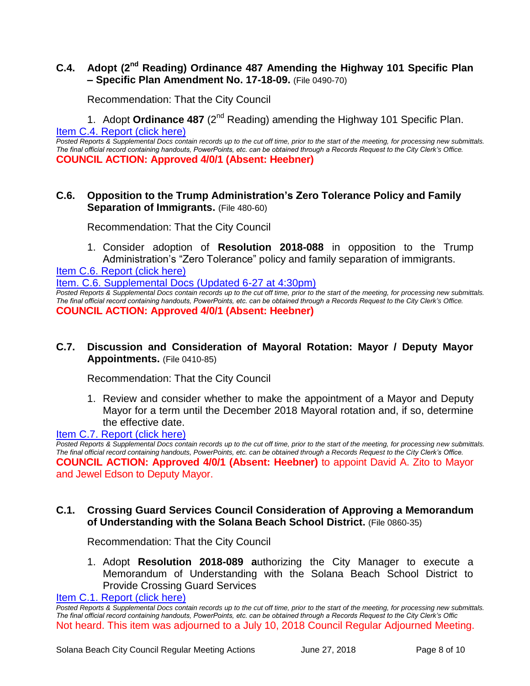# **C.4. Adopt (2nd Reading) Ordinance 487 Amending the Highway 101 Specific Plan – Specific Plan Amendment No. 17-18-09.** (File 0490-70)

Recommendation: That the City Council

1. Adopt **Ordinance 487** (2nd Reading) amending the Highway 101 Specific Plan.

[Item C.4. Report \(click here\)](https://solanabeach.govoffice3.com/vertical/Sites/%7B840804C2-F869-4904-9AE3-720581350CE7%7D/uploads/Item_C.4._Report_(click_here)_-06-27-18.PDF)

*Posted Reports & Supplemental Docs contain records up to the cut off time, prior to the start of the meeting, for processing new submittals. The final official record containing handouts, PowerPoints, etc. can be obtained through a Records Request to the City Clerk's Office.* **COUNCIL ACTION: Approved 4/0/1 (Absent: Heebner)**

## **C.6. Opposition to the Trump Administration's Zero Tolerance Policy and Family Separation of Immigrants.** (File 480-60)

Recommendation: That the City Council

1. Consider adoption of **Resolution 2018-088** in opposition to the Trump Administration's "Zero Tolerance" policy and family separation of immigrants.

[Item C.6. Report \(click here\)](https://solanabeach.govoffice3.com/vertical/Sites/%7B840804C2-F869-4904-9AE3-720581350CE7%7D/uploads/Item_C.6._Report_(click_here)_-06-27-18_-_Updated.pdf) 

[Item. C.6. Supplemental Docs \(Updated 6-27](https://solanabeach.govoffice3.com/vertical/Sites/%7B840804C2-F869-4904-9AE3-720581350CE7%7D/uploads/C.6._Supplemental_Docs-6-27-18_(430pm)-_R.pdf) at 4:30pm)

*Posted Reports & Supplemental Docs contain records up to the cut off time, prior to the start of the meeting, for processing new submittals. The final official record containing handouts, PowerPoints, etc. can be obtained through a Records Request to the City Clerk's Office.* **COUNCIL ACTION: Approved 4/0/1 (Absent: Heebner)**

# **C.7. Discussion and Consideration of Mayoral Rotation: Mayor / Deputy Mayor Appointments.** (File 0410-85)

Recommendation: That the City Council

1. Review and consider whether to make the appointment of a Mayor and Deputy Mayor for a term until the December 2018 Mayoral rotation and, if so, determine the effective date.

[Item C.7. Report \(click here\)](https://solanabeach.govoffice3.com/vertical/Sites/%7B840804C2-F869-4904-9AE3-720581350CE7%7D/uploads/Item_C.7._Report_(click_here)_-06-27-18.PDF)

*Posted Reports & Supplemental Docs contain records up to the cut off time, prior to the start of the meeting, for processing new submittals. The final official record containing handouts, PowerPoints, etc. can be obtained through a Records Request to the City Clerk's Office.* **COUNCIL ACTION: Approved 4/0/1 (Absent: Heebner)** to appoint David A. Zito to Mayor and Jewel Edson to Deputy Mayor.

## **C.1. Crossing Guard Services Council Consideration of Approving a Memorandum of Understanding with the Solana Beach School District.** (File 0860-35)

Recommendation: That the City Council

1. Adopt **Resolution 2018-089 a**uthorizing the City Manager to execute a Memorandum of Understanding with the Solana Beach School District to Provide Crossing Guard Services

[Item C.1. Report \(click here\)](https://solanabeach.govoffice3.com/vertical/Sites/%7B840804C2-F869-4904-9AE3-720581350CE7%7D/uploads/Item_C.1._Report_(click_here)_06-27-18.pdf)

*Posted Reports & Supplemental Docs contain records up to the cut off time, prior to the start of the meeting, for processing new submittals. The final official record containing handouts, PowerPoints, etc. can be obtained through a Records Request to the City Clerk's Offic* Not heard. This item was adjourned to a July 10, 2018 Council Regular Adjourned Meeting.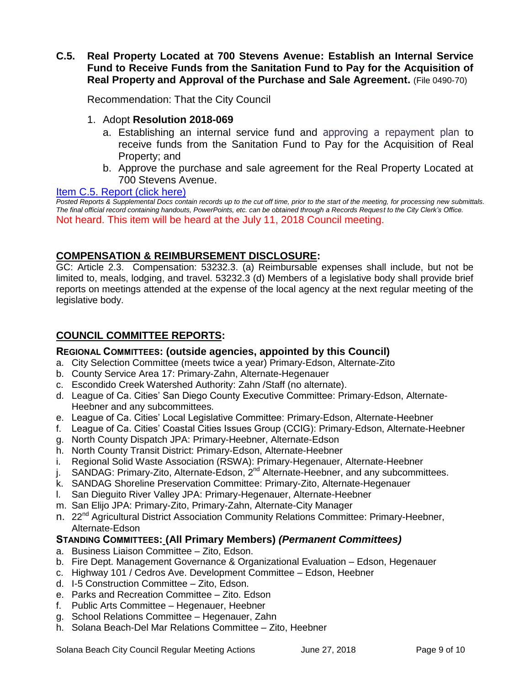## **C.5. Real Property Located at 700 Stevens Avenue: Establish an Internal Service Fund to Receive Funds from the Sanitation Fund to Pay for the Acquisition of Real Property and Approval of the Purchase and Sale Agreement.** (File 0490-70)

Recommendation: That the City Council

- 1. Adopt **Resolution 2018-069**
	- a. Establishing an internal service fund and approving a repayment plan to receive funds from the Sanitation Fund to Pay for the Acquisition of Real Property; and
	- b. Approve the purchase and sale agreement for the Real Property Located at 700 Stevens Avenue.

#### [Item C.5. Report \(click here\)](https://solanabeach.govoffice3.com/vertical/Sites/%7B840804C2-F869-4904-9AE3-720581350CE7%7D/uploads/Item_C.5._Report_(click_here)_-06-27-18.pdf)

*Posted Reports & Supplemental Docs contain records up to the cut off time, prior to the start of the meeting, for processing new submittals. The final official record containing handouts, PowerPoints, etc. can be obtained through a Records Request to the City Clerk's Office.* Not heard. This item will be heard at the July 11, 2018 Council meeting.

## **COMPENSATION & REIMBURSEMENT DISCLOSURE:**

GC: Article 2.3. Compensation: 53232.3. (a) Reimbursable expenses shall include, but not be limited to, meals, lodging, and travel. 53232.3 (d) Members of a legislative body shall provide brief reports on meetings attended at the expense of the local agency at the next regular meeting of the legislative body.

## **COUNCIL COMMITTEE REPORTS:**

#### **REGIONAL COMMITTEES: (outside agencies, appointed by this Council)**

- a. City Selection Committee (meets twice a year) Primary-Edson, Alternate-Zito
- b. County Service Area 17: Primary-Zahn, Alternate-Hegenauer
- c. Escondido Creek Watershed Authority: Zahn /Staff (no alternate).
- d. League of Ca. Cities' San Diego County Executive Committee: Primary-Edson, Alternate-Heebner and any subcommittees.
- e. League of Ca. Cities' Local Legislative Committee: Primary-Edson, Alternate-Heebner
- f. League of Ca. Cities' Coastal Cities Issues Group (CCIG): Primary-Edson, Alternate-Heebner
- g. North County Dispatch JPA: Primary-Heebner, Alternate-Edson
- h. North County Transit District: Primary-Edson, Alternate-Heebner
- i. Regional Solid Waste Association (RSWA): Primary-Hegenauer, Alternate-Heebner
- j. SANDAG: Primary-Zito, Alternate-Edson, 2<sup>nd</sup> Alternate-Heebner, and any subcommittees.
- k. SANDAG Shoreline Preservation Committee: Primary-Zito, Alternate-Hegenauer
- l. San Dieguito River Valley JPA: Primary-Hegenauer, Alternate-Heebner
- m. San Elijo JPA: Primary-Zito, Primary-Zahn, Alternate-City Manager
- n. 22<sup>nd</sup> Agricultural District Association Community Relations Committee: Primary-Heebner, Alternate-Edson

## **STANDING COMMITTEES: (All Primary Members)** *(Permanent Committees)*

- a. Business Liaison Committee Zito, Edson.
- b. Fire Dept. Management Governance & Organizational Evaluation Edson, Hegenauer
- c. Highway 101 / Cedros Ave. Development Committee Edson, Heebner
- d. I-5 Construction Committee Zito, Edson.
- e. Parks and Recreation Committee Zito. Edson
- f. Public Arts Committee Hegenauer, Heebner
- g. School Relations Committee Hegenauer, Zahn
- h. Solana Beach-Del Mar Relations Committee Zito, Heebner